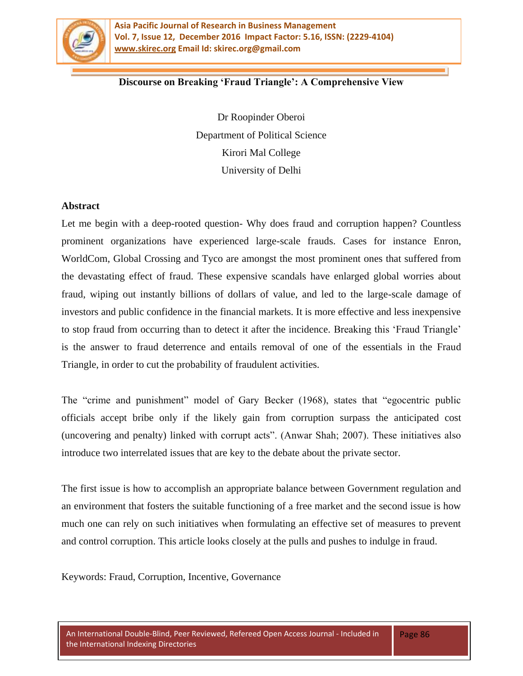

### **Discourse on Breaking 'Fraud Triangle': A Comprehensive View**

Dr Roopinder Oberoi Department of Political Science Kirori Mal College University of Delhi

#### **Abstract**

Let me begin with a deep-rooted question- Why does fraud and corruption happen? Countless prominent organizations have experienced large-scale frauds. Cases for instance Enron, WorldCom, Global Crossing and Tyco are amongst the most prominent ones that suffered from the devastating effect of fraud. These expensive scandals have enlarged global worries about fraud, wiping out instantly billions of dollars of value, and led to the large-scale damage of investors and public confidence in the financial markets. It is more effective and less inexpensive to stop fraud from occurring than to detect it after the incidence. Breaking this 'Fraud Triangle' is the answer to fraud deterrence and entails removal of one of the essentials in the Fraud Triangle, in order to cut the probability of fraudulent activities.

The "crime and punishment" model of Gary Becker (1968), states that "egocentric public officials accept bribe only if the likely gain from corruption surpass the anticipated cost (uncovering and penalty) linked with corrupt acts". (Anwar Shah; 2007). These initiatives also introduce two interrelated issues that are key to the debate about the private sector.

The first issue is how to accomplish an appropriate balance between Government regulation and an environment that fosters the suitable functioning of a free market and the second issue is how much one can rely on such initiatives when formulating an effective set of measures to prevent and control corruption. This article looks closely at the pulls and pushes to indulge in fraud.

Keywords: Fraud, Corruption, Incentive, Governance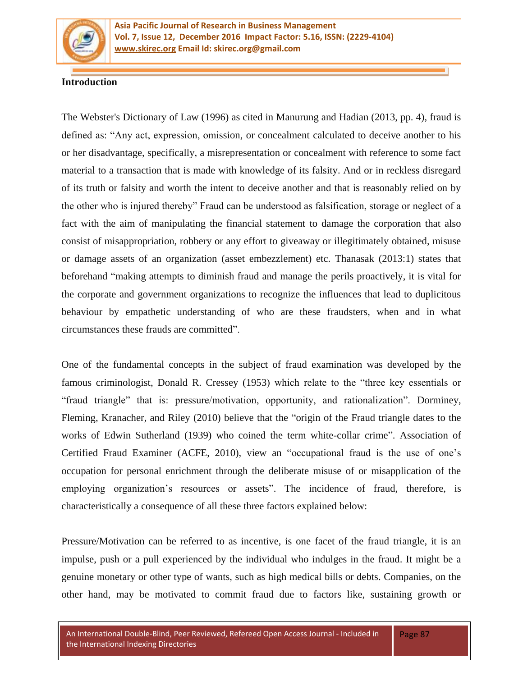

## **Introduction**

The Webster's Dictionary of Law (1996) as cited in Manurung and Hadian (2013, pp. 4), fraud is defined as: "Any act, expression, omission, or concealment calculated to deceive another to his or her disadvantage, specifically, a misrepresentation or concealment with reference to some fact material to a transaction that is made with knowledge of its falsity. And or in reckless disregard of its truth or falsity and worth the intent to deceive another and that is reasonably relied on by the other who is injured thereby" Fraud can be understood as falsification, storage or neglect of a fact with the aim of manipulating the financial statement to damage the corporation that also consist of misappropriation, robbery or any effort to giveaway or illegitimately obtained, misuse or damage assets of an organization (asset embezzlement) etc. Thanasak (2013:1) states that beforehand "making attempts to diminish fraud and manage the perils proactively, it is vital for the corporate and government organizations to recognize the influences that lead to duplicitous behaviour by empathetic understanding of who are these fraudsters, when and in what circumstances these frauds are committed".

One of the fundamental concepts in the subject of fraud examination was developed by the famous criminologist, Donald R. Cressey (1953) which relate to the "three key essentials or "fraud triangle" that is: pressure/motivation, opportunity, and rationalization". Dorminey, Fleming, Kranacher, and Riley (2010) believe that the "origin of the Fraud triangle dates to the works of Edwin Sutherland (1939) who coined the term white-collar crime". Association of Certified Fraud Examiner (ACFE, 2010), view an "occupational fraud is the use of one's occupation for personal enrichment through the deliberate misuse of or misapplication of the employing organization's resources or assets". The incidence of fraud, therefore, is characteristically a consequence of all these three factors explained below:

Pressure/Motivation can be referred to as incentive, is one facet of the fraud triangle, it is an impulse, push or a pull experienced by the individual who indulges in the fraud. It might be a genuine monetary or other type of wants, such as high medical bills or debts. Companies, on the other hand, may be motivated to commit fraud due to factors like, sustaining growth or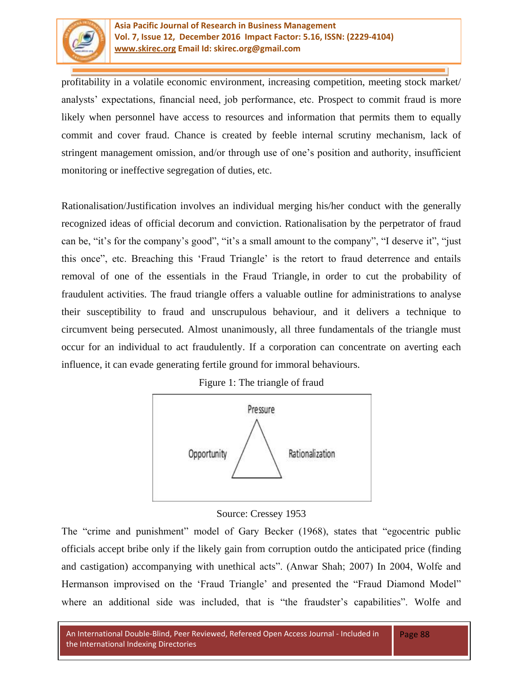

profitability in a volatile economic environment, increasing competition, meeting stock market/ analysts' expectations, financial need, job performance, etc. Prospect to commit fraud is more likely when personnel have access to resources and information that permits them to equally commit and cover fraud. Chance is created by feeble internal scrutiny mechanism, lack of stringent management omission, and/or through use of one's position and authority, insufficient monitoring or ineffective segregation of duties, etc.

Rationalisation/Justification involves an individual merging his/her conduct with the generally recognized ideas of official decorum and conviction. Rationalisation by the perpetrator of fraud can be, "it's for the company's good", "it's a small amount to the company", "I deserve it", "just this once", etc. Breaching this 'Fraud Triangle' is the retort to fraud deterrence and entails removal of one of the essentials in the Fraud Triangle, in order to cut the probability of fraudulent activities. The fraud triangle offers a valuable outline for administrations to analyse their susceptibility to fraud and unscrupulous behaviour, and it delivers a technique to circumvent being persecuted. Almost unanimously, all three fundamentals of the triangle must occur for an individual to act fraudulently. If a corporation can concentrate on averting each influence, it can evade generating fertile ground for immoral behaviours.

Figure 1: The triangle of fraud



# Source: Cressey 1953

The "crime and punishment" model of Gary Becker (1968), states that "egocentric public officials accept bribe only if the likely gain from corruption outdo the anticipated price (finding and castigation) accompanying with unethical acts". (Anwar Shah; 2007) In 2004, Wolfe and Hermanson improvised on the 'Fraud Triangle' and presented the "Fraud Diamond Model" where an additional side was included, that is "the fraudster's capabilities". Wolfe and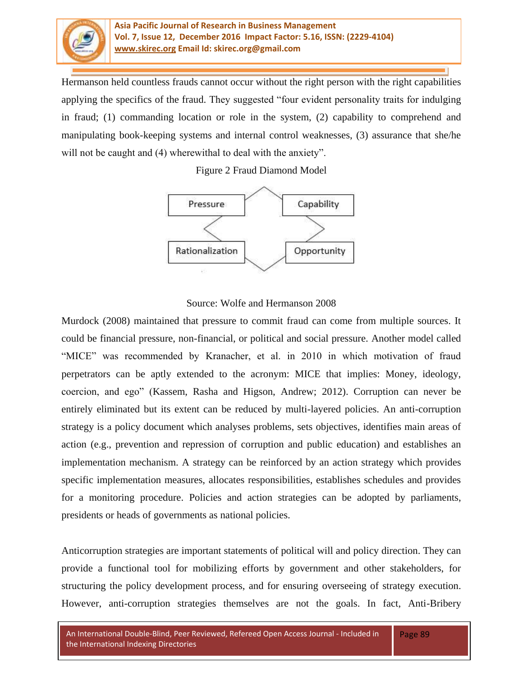

#### **Asia Pacific Journal of Research in Business Management Vol. 7, Issue 12, December 2016 Impact Factor: 5.16, ISSN: (2229-4104) [www.skirec.org](http://www.skirec.org/) Email Id: skirec.org@gmail.com**

Hermanson held countless frauds cannot occur without the right person with the right capabilities applying the specifics of the fraud. They suggested "four evident personality traits for indulging in fraud; (1) commanding location or role in the system, (2) capability to comprehend and manipulating book-keeping systems and internal control weaknesses, (3) assurance that she/he will not be caught and (4) wherewithal to deal with the anxiety".

Figure 2 Fraud Diamond Model



## Source: Wolfe and Hermanson 2008

Murdock (2008) maintained that pressure to commit fraud can come from multiple sources. It could be financial pressure, non-financial, or political and social pressure. Another model called "MICE" was recommended by Kranacher, et al. in 2010 in which motivation of fraud perpetrators can be aptly extended to the acronym: MICE that implies: Money, ideology, coercion, and ego‖ (Kassem, Rasha and Higson, Andrew; 2012). Corruption can never be entirely eliminated but its extent can be reduced by multi-layered policies. An anti-corruption strategy is a policy document which analyses problems, sets objectives, identifies main areas of action (e.g., prevention and repression of corruption and public education) and establishes an implementation mechanism. A strategy can be reinforced by an action strategy which provides specific implementation measures, allocates responsibilities, establishes schedules and provides for a monitoring procedure. Policies and action strategies can be adopted by parliaments, presidents or heads of governments as national policies.

Anticorruption strategies are important statements of political will and policy direction. They can provide a functional tool for mobilizing efforts by government and other stakeholders, for structuring the policy development process, and for ensuring overseeing of strategy execution. However, anti-corruption strategies themselves are not the goals. In fact, Anti-Bribery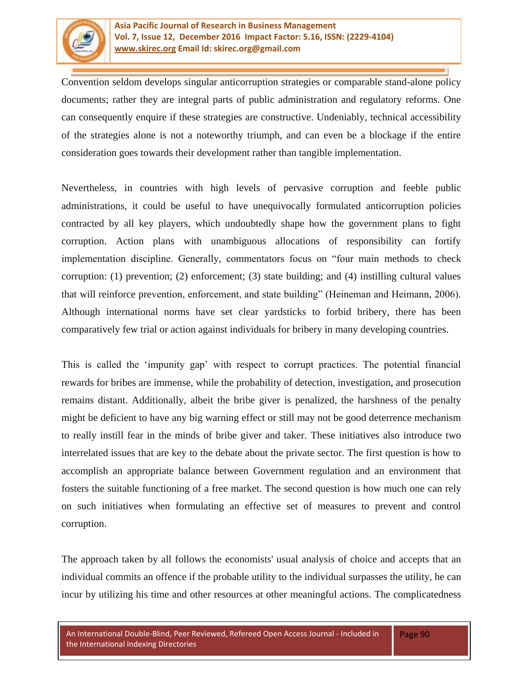

Convention seldom develops singular anticorruption strategies or comparable stand-alone policy documents; rather they are integral parts of public administration and regulatory reforms. One can consequently enquire if these strategies are constructive. Undeniably, technical accessibility of the strategies alone is not a noteworthy triumph, and can even be a blockage if the entire consideration goes towards their development rather than tangible implementation.

Nevertheless, in countries with high levels of pervasive corruption and feeble public administrations, it could be useful to have unequivocally formulated anticorruption policies contracted by all key players, which undoubtedly shape how the government plans to fight corruption. Action plans with unambiguous allocations of responsibility can fortify implementation discipline. Generally, commentators focus on "four main methods to check corruption: (1) prevention; (2) enforcement; (3) state building; and (4) instilling cultural values that will reinforce prevention, enforcement, and state building" (Heineman and Heimann, 2006). Although international norms have set clear yardsticks to forbid bribery, there has been comparatively few trial or action against individuals for bribery in many developing countries.

This is called the ‗impunity gap' with respect to corrupt practices. The potential financial rewards for bribes are immense, while the probability of detection, investigation, and prosecution remains distant. Additionally, albeit the bribe giver is penalized, the harshness of the penalty might be deficient to have any big warning effect or still may not be good deterrence mechanism to really instill fear in the minds of bribe giver and taker. These initiatives also introduce two interrelated issues that are key to the debate about the private sector. The first question is how to accomplish an appropriate balance between Government regulation and an environment that fosters the suitable functioning of a free market. The second question is how much one can rely on such initiatives when formulating an effective set of measures to prevent and control corruption.

The approach taken by all follows the economists' usual analysis of choice and accepts that an individual commits an offence if the probable utility to the individual surpasses the utility, he can incur by utilizing his time and other resources at other meaningful actions. The complicatedness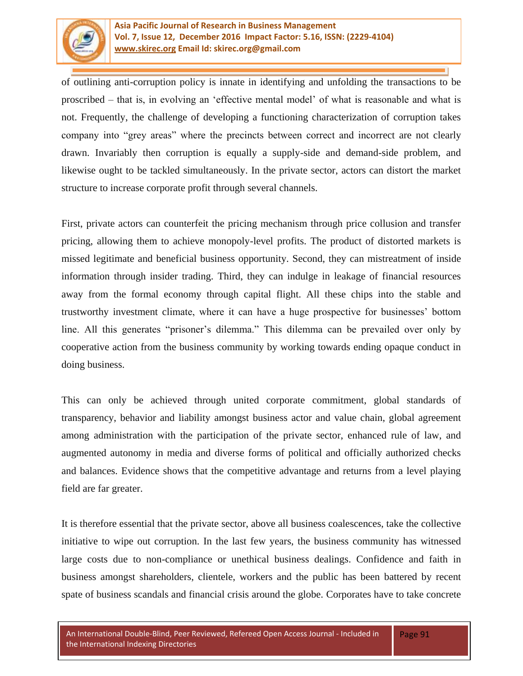

of outlining anti-corruption policy is innate in identifying and unfolding the transactions to be proscribed – that is, in evolving an 'effective mental model' of what is reasonable and what is not. Frequently, the challenge of developing a functioning characterization of corruption takes company into "grey areas" where the precincts between correct and incorrect are not clearly drawn. Invariably then corruption is equally a supply-side and demand-side problem, and likewise ought to be tackled simultaneously. In the private sector, actors can distort the market structure to increase corporate profit through several channels.

First, private actors can counterfeit the pricing mechanism through price collusion and transfer pricing, allowing them to achieve monopoly-level profits. The product of distorted markets is missed legitimate and beneficial business opportunity. Second, they can mistreatment of inside information through insider trading. Third, they can indulge in leakage of financial resources away from the formal economy through capital flight. All these chips into the stable and trustworthy investment climate, where it can have a huge prospective for businesses' bottom line. All this generates "prisoner's dilemma." This dilemma can be prevailed over only by cooperative action from the business community by working towards ending opaque conduct in doing business.

This can only be achieved through united corporate commitment, global standards of transparency, behavior and liability amongst business actor and value chain, global agreement among administration with the participation of the private sector, enhanced rule of law, and augmented autonomy in media and diverse forms of political and officially authorized checks and balances. Evidence shows that the competitive advantage and returns from a level playing field are far greater.

It is therefore essential that the private sector, above all business coalescences, take the collective initiative to wipe out corruption. In the last few years, the business community has witnessed large costs due to non-compliance or unethical business dealings. Confidence and faith in business amongst shareholders, clientele, workers and the public has been battered by recent spate of business scandals and financial crisis around the globe. Corporates have to take concrete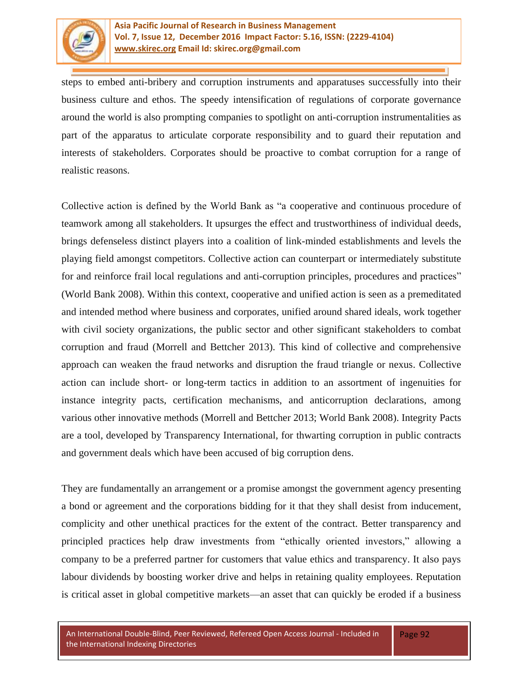

steps to embed anti-bribery and corruption instruments and apparatuses successfully into their business culture and ethos. The speedy intensification of regulations of corporate governance around the world is also prompting companies to spotlight on anti-corruption instrumentalities as part of the apparatus to articulate corporate responsibility and to guard their reputation and interests of stakeholders. Corporates should be proactive to combat corruption for a range of realistic reasons.

Collective action is defined by the World Bank as "a cooperative and continuous procedure of teamwork among all stakeholders. It upsurges the effect and trustworthiness of individual deeds, brings defenseless distinct players into a coalition of link-minded establishments and levels the playing field amongst competitors. Collective action can counterpart or intermediately substitute for and reinforce frail local regulations and anti-corruption principles, procedures and practices" (World Bank 2008). Within this context, cooperative and unified action is seen as a premeditated and intended method where business and corporates, unified around shared ideals, work together with civil society organizations, the public sector and other significant stakeholders to combat corruption and fraud (Morrell and Bettcher 2013). This kind of collective and comprehensive approach can weaken the fraud networks and disruption the fraud triangle or nexus. Collective action can include short- or long-term tactics in addition to an assortment of ingenuities for instance integrity pacts, certification mechanisms, and anticorruption declarations, among various other innovative methods (Morrell and Bettcher 2013; World Bank 2008). Integrity Pacts are a tool, developed by Transparency International, for thwarting corruption in public contracts and government deals which have been accused of big corruption dens.

They are fundamentally an arrangement or a promise amongst the government agency presenting a bond or agreement and the corporations bidding for it that they shall desist from inducement, complicity and other unethical practices for the extent of the contract. Better transparency and principled practices help draw investments from "ethically oriented investors," allowing a company to be a preferred partner for customers that value ethics and transparency. It also pays labour dividends by boosting worker drive and helps in retaining quality employees. Reputation is critical asset in global competitive markets—an asset that can quickly be eroded if a business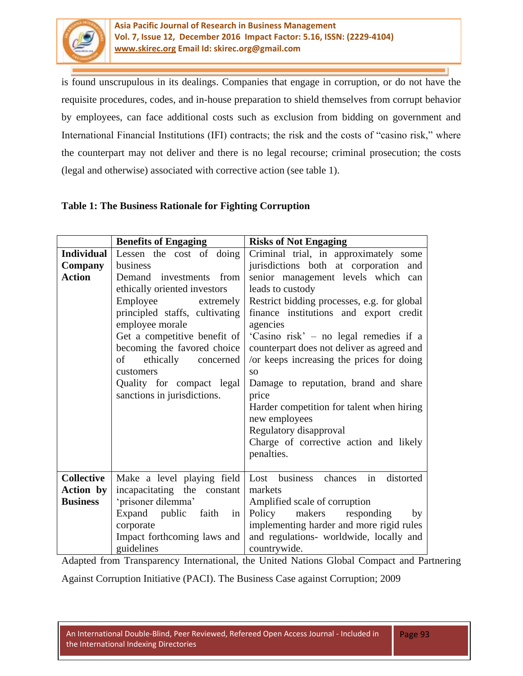

is found unscrupulous in its dealings. Companies that engage in corruption, or do not have the requisite procedures, codes, and in-house preparation to shield themselves from corrupt behavior by employees, can face additional costs such as exclusion from bidding on government and International Financial Institutions (IFI) contracts; the risk and the costs of "casino risk," where the counterpart may not deliver and there is no legal recourse; criminal prosecution; the costs (legal and otherwise) associated with corrective action (see table 1).

# **Table 1: The Business Rationale for Fighting Corruption**

|                   | <b>Benefits of Engaging</b>    | <b>Risks of Not Engaging</b>                |  |  |  |  |
|-------------------|--------------------------------|---------------------------------------------|--|--|--|--|
| <b>Individual</b> | Lessen the cost of doing       | Criminal trial, in approximately some       |  |  |  |  |
| Company           | business                       | jurisdictions both at corporation and       |  |  |  |  |
| <b>Action</b>     | Demand<br>investments from     | senior management levels which can          |  |  |  |  |
|                   | ethically oriented investors   | leads to custody                            |  |  |  |  |
|                   | Employee<br>extremely          | Restrict bidding processes, e.g. for global |  |  |  |  |
|                   | principled staffs, cultivating | finance institutions and export credit      |  |  |  |  |
|                   | employee morale                | agencies                                    |  |  |  |  |
|                   | Get a competitive benefit of   | 'Casino risk' – no legal remedies if a      |  |  |  |  |
|                   | becoming the favored choice    | counterpart does not deliver as agreed and  |  |  |  |  |
|                   | of<br>ethically<br>concerned   | /or keeps increasing the prices for doing   |  |  |  |  |
|                   | customers                      | SO <sub>2</sub>                             |  |  |  |  |
|                   | Quality for compact legal      | Damage to reputation, brand and share       |  |  |  |  |
|                   | sanctions in jurisdictions.    | price                                       |  |  |  |  |
|                   |                                | Harder competition for talent when hiring   |  |  |  |  |
|                   |                                | new employees                               |  |  |  |  |
|                   |                                | Regulatory disapproval                      |  |  |  |  |
|                   |                                | Charge of corrective action and likely      |  |  |  |  |
|                   |                                | penalties.                                  |  |  |  |  |
|                   |                                |                                             |  |  |  |  |
| <b>Collective</b> | Make a level playing field     | Lost business<br>in<br>distorted<br>chances |  |  |  |  |
| <b>Action</b> by  | incapacitating the constant    | markets                                     |  |  |  |  |
| <b>Business</b>   | 'prisoner dilemma'             | Amplified scale of corruption               |  |  |  |  |
|                   | Expand public faith<br>in      | makers<br>Policy<br>responding<br>by        |  |  |  |  |
|                   | corporate                      | implementing harder and more rigid rules    |  |  |  |  |
|                   | Impact forthcoming laws and    | and regulations- worldwide, locally and     |  |  |  |  |
|                   | guidelines                     | countrywide.                                |  |  |  |  |

Adapted from Transparency International, the United Nations Global Compact and Partnering

Against Corruption Initiative (PACI). The Business Case against Corruption; 2009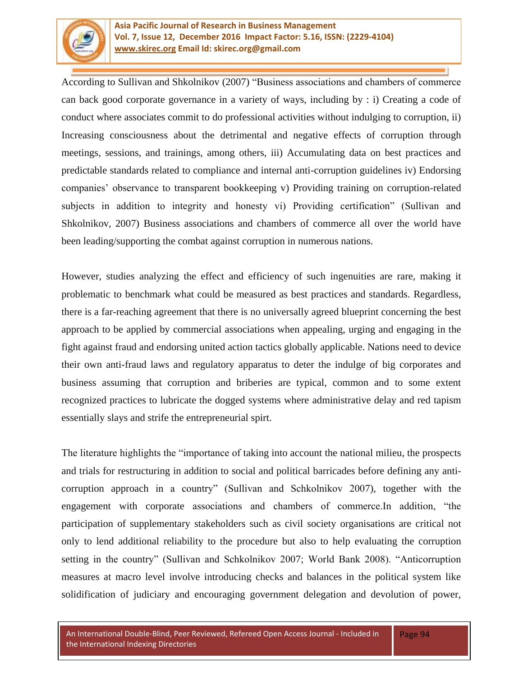

According to Sullivan and Shkolnikov (2007) "Business associations and chambers of commerce can back good corporate governance in a variety of ways, including by : i) Creating a code of conduct where associates commit to do professional activities without indulging to corruption, ii) Increasing consciousness about the detrimental and negative effects of corruption through meetings, sessions, and trainings, among others, iii) Accumulating data on best practices and predictable standards related to compliance and internal anti-corruption guidelines iv) Endorsing companies' observance to transparent bookkeeping v) Providing training on corruption-related subjects in addition to integrity and honesty vi) Providing certification" (Sullivan and Shkolnikov, 2007) Business associations and chambers of commerce all over the world have been leading/supporting the combat against corruption in numerous nations.

However, studies analyzing the effect and efficiency of such ingenuities are rare, making it problematic to benchmark what could be measured as best practices and standards. Regardless, there is a far-reaching agreement that there is no universally agreed blueprint concerning the best approach to be applied by commercial associations when appealing, urging and engaging in the fight against fraud and endorsing united action tactics globally applicable. Nations need to device their own anti-fraud laws and regulatory apparatus to deter the indulge of big corporates and business assuming that corruption and briberies are typical, common and to some extent recognized practices to lubricate the dogged systems where administrative delay and red tapism essentially slays and strife the entrepreneurial spirt.

The literature highlights the "importance of taking into account the national milieu, the prospects and trials for restructuring in addition to social and political barricades before defining any anticorruption approach in a country" (Sullivan and Schkolnikov 2007), together with the engagement with corporate associations and chambers of commerce.In addition, "the participation of supplementary stakeholders such as civil society organisations are critical not only to lend additional reliability to the procedure but also to help evaluating the corruption setting in the country" (Sullivan and Schkolnikov 2007; World Bank 2008). "Anticorruption measures at macro level involve introducing checks and balances in the political system like solidification of judiciary and encouraging government delegation and devolution of power,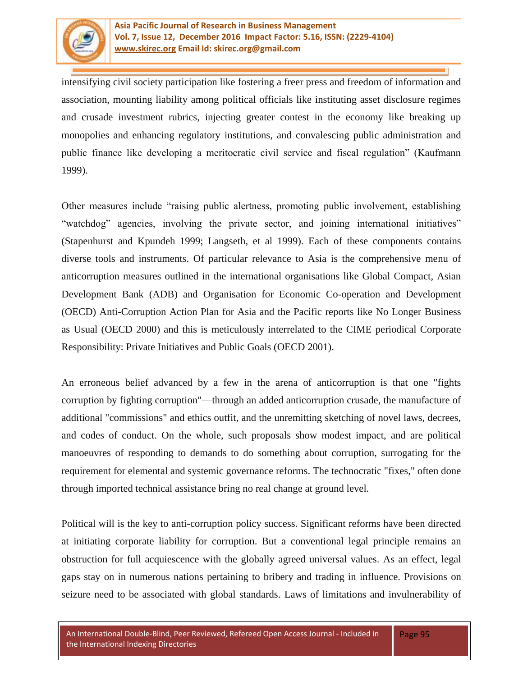

intensifying civil society participation like fostering a freer press and freedom of information and association, mounting liability among political officials like instituting asset disclosure regimes and crusade investment rubrics, injecting greater contest in the economy like breaking up monopolies and enhancing regulatory institutions, and convalescing public administration and public finance like developing a meritocratic civil service and fiscal regulation" (Kaufmann 1999).

Other measures include "raising public alertness, promoting public involvement, establishing "watchdog" agencies, involving the private sector, and joining international initiatives" (Stapenhurst and Kpundeh 1999; Langseth, et al 1999). Each of these components contains diverse tools and instruments. Of particular relevance to Asia is the comprehensive menu of anticorruption measures outlined in the international organisations like Global Compact, Asian Development Bank (ADB) and Organisation for Economic Co-operation and Development (OECD) Anti-Corruption Action Plan for Asia and the Pacific reports like No Longer Business as Usual (OECD 2000) and this is meticulously interrelated to the CIME periodical Corporate Responsibility: Private Initiatives and Public Goals (OECD 2001).

An erroneous belief advanced by a few in the arena of anticorruption is that one "fights corruption by fighting corruption"—through an added anticorruption crusade, the manufacture of additional "commissions" and ethics outfit, and the unremitting sketching of novel laws, decrees, and codes of conduct. On the whole, such proposals show modest impact, and are political manoeuvres of responding to demands to do something about corruption, surrogating for the requirement for elemental and systemic governance reforms. The technocratic "fixes," often done through imported technical assistance bring no real change at ground level.

Political will is the key to anti-corruption policy success. Significant reforms have been directed at initiating corporate liability for corruption. But a conventional legal principle remains an obstruction for full acquiescence with the globally agreed universal values. As an effect, legal gaps stay on in numerous nations pertaining to bribery and trading in influence. Provisions on seizure need to be associated with global standards. Laws of limitations and invulnerability of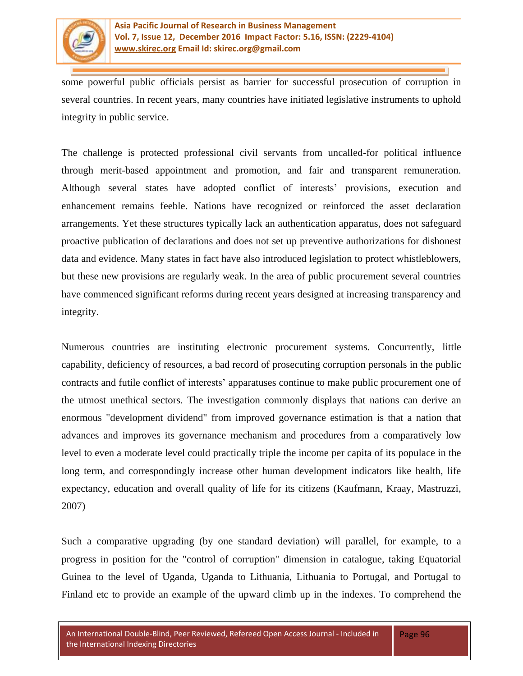

some powerful public officials persist as barrier for successful prosecution of corruption in several countries. In recent years, many countries have initiated legislative instruments to uphold integrity in public service.

The challenge is protected professional civil servants from uncalled-for political influence through merit-based appointment and promotion, and fair and transparent remuneration. Although several states have adopted conflict of interests' provisions, execution and enhancement remains feeble. Nations have recognized or reinforced the asset declaration arrangements. Yet these structures typically lack an authentication apparatus, does not safeguard proactive publication of declarations and does not set up preventive authorizations for dishonest data and evidence. Many states in fact have also introduced legislation to protect whistleblowers, but these new provisions are regularly weak. In the area of public procurement several countries have commenced significant reforms during recent years designed at increasing transparency and integrity.

Numerous countries are instituting electronic procurement systems. Concurrently, little capability, deficiency of resources, a bad record of prosecuting corruption personals in the public contracts and futile conflict of interests' apparatuses continue to make public procurement one of the utmost unethical sectors. The investigation commonly displays that nations can derive an enormous "development dividend" from improved governance estimation is that a nation that advances and improves its governance mechanism and procedures from a comparatively low level to even a moderate level could practically triple the income per capita of its populace in the long term, and correspondingly increase other human development indicators like health, life expectancy, education and overall quality of life for its citizens (Kaufmann, Kraay, Mastruzzi, 2007)

Such a comparative upgrading (by one standard deviation) will parallel, for example, to a progress in position for the "control of corruption" dimension in catalogue, taking Equatorial Guinea to the level of Uganda, Uganda to Lithuania, Lithuania to Portugal, and Portugal to Finland etc to provide an example of the upward climb up in the indexes. To comprehend the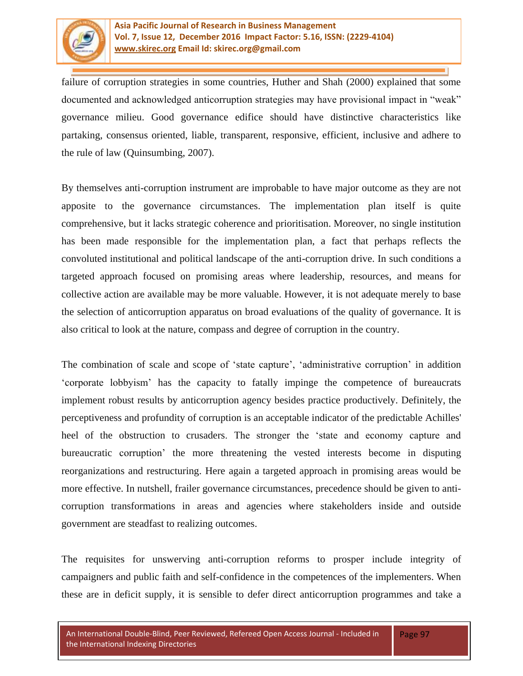

failure of corruption strategies in some countries, Huther and Shah (2000) explained that some documented and acknowledged anticorruption strategies may have provisional impact in "weak" governance milieu. Good governance edifice should have distinctive characteristics like partaking, consensus oriented, liable, transparent, responsive, efficient, inclusive and adhere to the rule of law (Quinsumbing, 2007).

By themselves anti-corruption instrument are improbable to have major outcome as they are not apposite to the governance circumstances. The implementation plan itself is quite comprehensive, but it lacks strategic coherence and prioritisation. Moreover, no single institution has been made responsible for the implementation plan, a fact that perhaps reflects the convoluted institutional and political landscape of the anti-corruption drive. In such conditions a targeted approach focused on promising areas where leadership, resources, and means for collective action are available may be more valuable. However, it is not adequate merely to base the selection of anticorruption apparatus on broad evaluations of the quality of governance. It is also critical to look at the nature, compass and degree of corruption in the country.

The combination of scale and scope of 'state capture', 'administrative corruption' in addition ‗corporate lobbyism' has the capacity to fatally impinge the competence of bureaucrats implement robust results by anticorruption agency besides practice productively. Definitely, the perceptiveness and profundity of corruption is an acceptable indicator of the predictable Achilles' heel of the obstruction to crusaders. The stronger the 'state and economy capture and bureaucratic corruption' the more threatening the vested interests become in disputing reorganizations and restructuring. Here again a targeted approach in promising areas would be more effective. In nutshell, frailer governance circumstances, precedence should be given to anticorruption transformations in areas and agencies where stakeholders inside and outside government are steadfast to realizing outcomes.

The requisites for unswerving anti-corruption reforms to prosper include integrity of campaigners and public faith and self-confidence in the competences of the implementers. When these are in deficit supply, it is sensible to defer direct anticorruption programmes and take a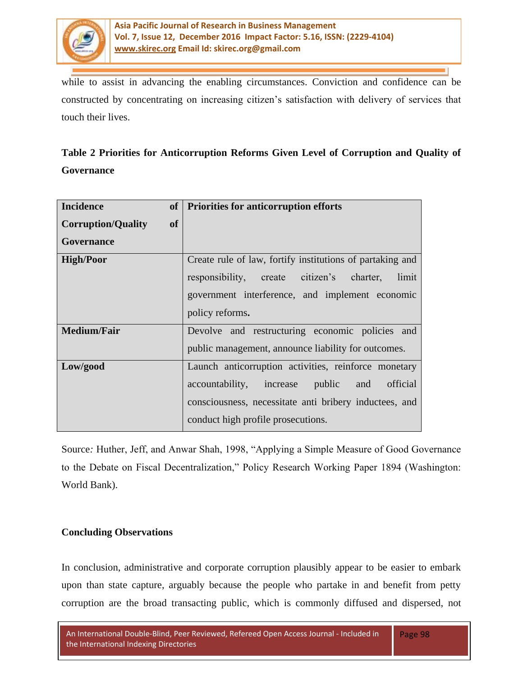

while to assist in advancing the enabling circumstances. Conviction and confidence can be constructed by concentrating on increasing citizen's satisfaction with delivery of services that touch their lives.

| Table 2 Priorities for Anticorruption Reforms Given Level of Corruption and Quality of |  |  |  |  |
|----------------------------------------------------------------------------------------|--|--|--|--|
| Governance                                                                             |  |  |  |  |

| <b>Incidence</b><br><b>of</b>          | <b>Priorities for anticorruption efforts</b>              |
|----------------------------------------|-----------------------------------------------------------|
| <b>of</b><br><b>Corruption/Quality</b> |                                                           |
| Governance                             |                                                           |
| <b>High/Poor</b>                       | Create rule of law, fortify institutions of partaking and |
|                                        | responsibility, create citizen's charter,<br>limit        |
|                                        | government interference, and implement economic           |
|                                        | policy reforms.                                           |
| <b>Medium/Fair</b>                     | Devolve and restructuring economic policies and           |
|                                        | public management, announce liability for outcomes.       |
| Low/good                               | Launch anticorruption activities, reinforce monetary      |
|                                        | official<br>accountability,<br>public and<br>increase     |
|                                        | consciousness, necessitate anti bribery inductees, and    |
|                                        | conduct high profile prosecutions.                        |

Source: Huther, Jeff, and Anwar Shah, 1998, "Applying a Simple Measure of Good Governance to the Debate on Fiscal Decentralization," Policy Research Working Paper 1894 (Washington: World Bank).

### **Concluding Observations**

In conclusion, administrative and corporate corruption plausibly appear to be easier to embark upon than state capture, arguably because the people who partake in and benefit from petty corruption are the broad transacting public, which is commonly diffused and dispersed, not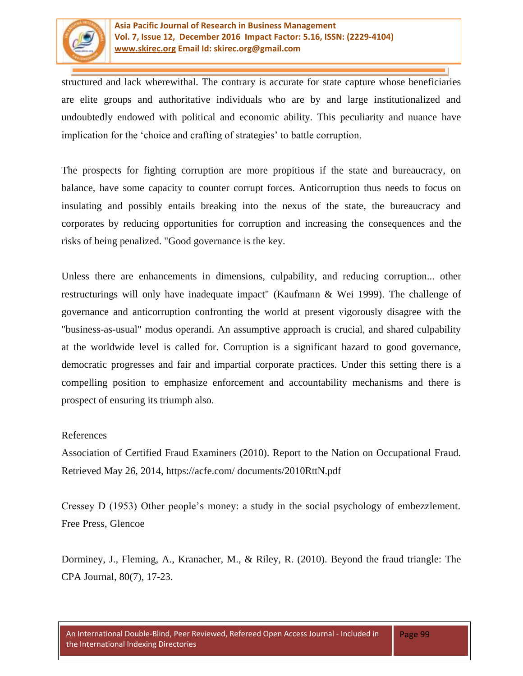

structured and lack wherewithal. The contrary is accurate for state capture whose beneficiaries are elite groups and authoritative individuals who are by and large institutionalized and undoubtedly endowed with political and economic ability. This peculiarity and nuance have implication for the 'choice and crafting of strategies' to battle corruption.

The prospects for fighting corruption are more propitious if the state and bureaucracy, on balance, have some capacity to counter corrupt forces. Anticorruption thus needs to focus on insulating and possibly entails breaking into the nexus of the state, the bureaucracy and corporates by reducing opportunities for corruption and increasing the consequences and the risks of being penalized. "Good governance is the key.

Unless there are enhancements in dimensions, culpability, and reducing corruption... other restructurings will only have inadequate impact" (Kaufmann & Wei 1999). The challenge of governance and anticorruption confronting the world at present vigorously disagree with the "business-as-usual" modus operandi. An assumptive approach is crucial, and shared culpability at the worldwide level is called for. Corruption is a significant hazard to good governance, democratic progresses and fair and impartial corporate practices. Under this setting there is a compelling position to emphasize enforcement and accountability mechanisms and there is prospect of ensuring its triumph also.

#### References

Association of Certified Fraud Examiners (2010). Report to the Nation on Occupational Fraud. Retrieved May 26, 2014, https://acfe.com/ documents/2010RttN.pdf

Cressey D (1953) Other people's money: a study in the social psychology of embezzlement. Free Press, Glencoe

Dorminey, J., Fleming, A., Kranacher, M., & Riley, R. (2010). Beyond the fraud triangle: The CPA Journal, 80(7), 17-23.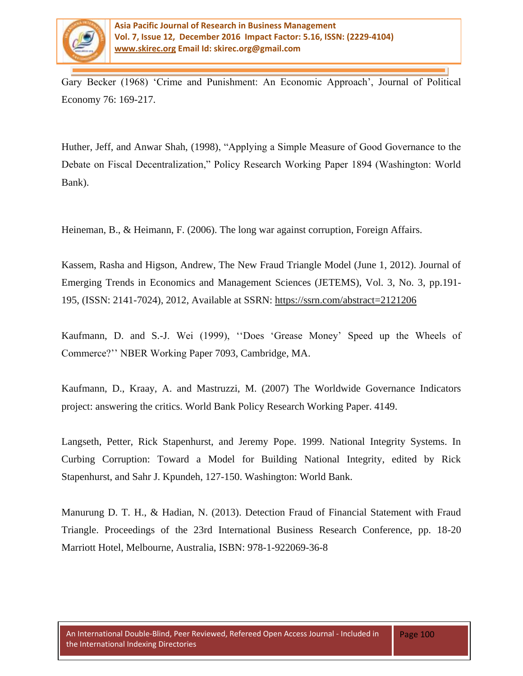

Gary Becker (1968) 'Crime and Punishment: An Economic Approach', Journal of Political Economy 76: 169-217.

Huther, Jeff, and Anwar Shah, (1998), "Applying a Simple Measure of Good Governance to the Debate on Fiscal Decentralization," Policy Research Working Paper 1894 (Washington: World Bank).

Heineman, B., & Heimann, F. (2006). The long war against corruption, Foreign Affairs.

Kassem, Rasha and Higson, Andrew, The New Fraud Triangle Model (June 1, 2012). Journal of Emerging Trends in Economics and Management Sciences (JETEMS), Vol. 3, No. 3, pp.191- 195, (ISSN: 2141-7024), 2012, Available at SSRN: <https://ssrn.com/abstract=2121206>

Kaufmann, D. and S.-J. Wei (1999), "Does 'Grease Money' Speed up the Wheels of Commerce?'' NBER Working Paper 7093, Cambridge, MA.

Kaufmann, D., Kraay, A. and Mastruzzi, M. (2007) The Worldwide Governance Indicators project: answering the critics. World Bank Policy Research Working Paper. 4149.

Langseth, Petter, Rick Stapenhurst, and Jeremy Pope. 1999. National Integrity Systems. In Curbing Corruption: Toward a Model for Building National Integrity, edited by Rick Stapenhurst, and Sahr J. Kpundeh, 127-150. Washington: World Bank.

Manurung D. T. H., & Hadian, N. (2013). Detection Fraud of Financial Statement with Fraud Triangle. Proceedings of the 23rd International Business Research Conference, pp. 18-20 Marriott Hotel, Melbourne, Australia, ISBN: 978-1-922069-36-8